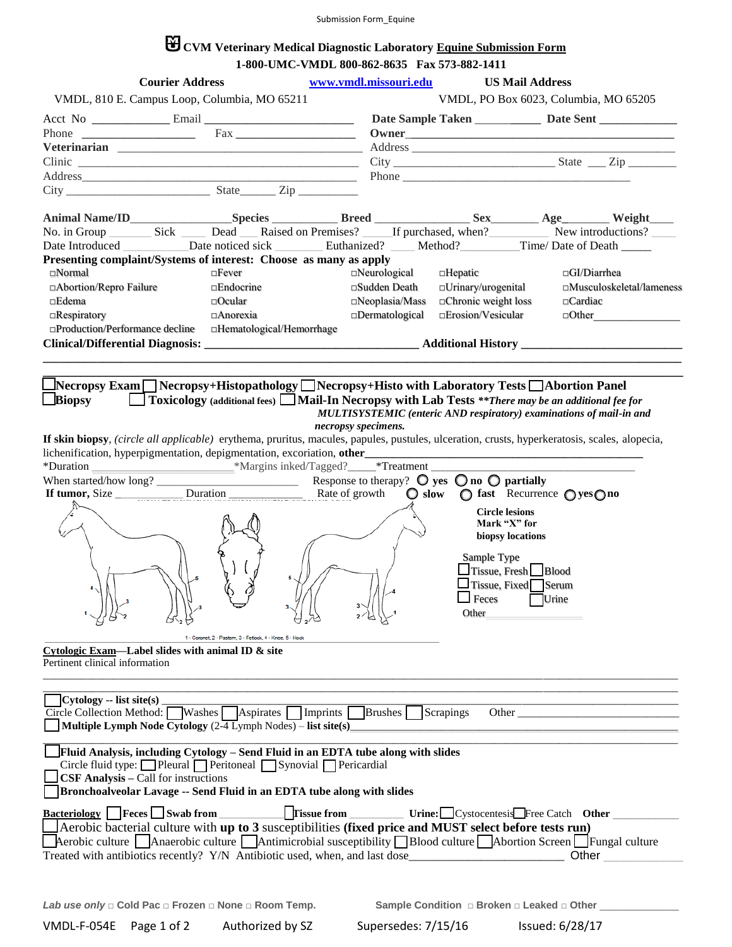# **CVM Veterinary Medical Diagnostic Laboratory Equine Submission Form 1-800-UMC-VMDL 800-862-8635 Fax 573-882-1411**

|                                                                                                                                                                                                                       | <b>Courier Address</b>                      |                                                                                                                                                                                                                                                                                                                                                                                                                                                                                                                                                                                                            |                     | www.vmdl.missouri.edu                | <b>US Mail Address</b>                                                                                                                        |                    |                           |
|-----------------------------------------------------------------------------------------------------------------------------------------------------------------------------------------------------------------------|---------------------------------------------|------------------------------------------------------------------------------------------------------------------------------------------------------------------------------------------------------------------------------------------------------------------------------------------------------------------------------------------------------------------------------------------------------------------------------------------------------------------------------------------------------------------------------------------------------------------------------------------------------------|---------------------|--------------------------------------|-----------------------------------------------------------------------------------------------------------------------------------------------|--------------------|---------------------------|
|                                                                                                                                                                                                                       |                                             | VMDL, 810 E. Campus Loop, Columbia, MO 65211                                                                                                                                                                                                                                                                                                                                                                                                                                                                                                                                                               |                     |                                      | VMDL, PO Box 6023, Columbia, MO 65205                                                                                                         |                    |                           |
|                                                                                                                                                                                                                       |                                             |                                                                                                                                                                                                                                                                                                                                                                                                                                                                                                                                                                                                            |                     |                                      |                                                                                                                                               |                    |                           |
|                                                                                                                                                                                                                       |                                             |                                                                                                                                                                                                                                                                                                                                                                                                                                                                                                                                                                                                            |                     |                                      |                                                                                                                                               |                    |                           |
|                                                                                                                                                                                                                       |                                             |                                                                                                                                                                                                                                                                                                                                                                                                                                                                                                                                                                                                            |                     |                                      |                                                                                                                                               |                    |                           |
|                                                                                                                                                                                                                       |                                             | $Clinic \nightharpoonup \nightharpoonup \nightharpoonup \nightharpoonup \nightharpoonup \nightharpoonup \nightharpoonup \nightharpoonup \nightharpoonup \nightharpoonup \nightharpoonup \nightharpoonup \nightharpoonup \nightharpoonup \nightharpoonup \nightharpoonup \nightharpoonup \nightharpoonup \nightharpoonup \nightharpoonup \nightharpoonup \nightharpoonup \nightharpoonup \nightharpoonup \nightharpoonup \nightharpoonup \nightharpoonup \nightharpoonup \nightharpoonup \nightharpoonup \nightharpoonup \nightharpoonup \nightharpoonup \nightharpoonup \nightharpoonup \nightharpoonup \$ |                     |                                      |                                                                                                                                               |                    |                           |
|                                                                                                                                                                                                                       |                                             |                                                                                                                                                                                                                                                                                                                                                                                                                                                                                                                                                                                                            |                     |                                      |                                                                                                                                               |                    |                           |
|                                                                                                                                                                                                                       |                                             | $City$ $City$ $Size$ $Type$                                                                                                                                                                                                                                                                                                                                                                                                                                                                                                                                                                                |                     |                                      |                                                                                                                                               |                    |                           |
|                                                                                                                                                                                                                       |                                             |                                                                                                                                                                                                                                                                                                                                                                                                                                                                                                                                                                                                            |                     |                                      |                                                                                                                                               |                    |                           |
|                                                                                                                                                                                                                       |                                             |                                                                                                                                                                                                                                                                                                                                                                                                                                                                                                                                                                                                            |                     |                                      | No. in Group Sick Dead Raised on Premises? If purchased, when? New introductions?                                                             |                    |                           |
|                                                                                                                                                                                                                       |                                             |                                                                                                                                                                                                                                                                                                                                                                                                                                                                                                                                                                                                            |                     |                                      |                                                                                                                                               |                    |                           |
| $\square$ Normal                                                                                                                                                                                                      |                                             | Presenting complaint/Systems of interest: Choose as many as apply                                                                                                                                                                                                                                                                                                                                                                                                                                                                                                                                          |                     |                                      |                                                                                                                                               |                    |                           |
| □ Abortion/Repro Failure                                                                                                                                                                                              |                                             | $\square$ Fever<br>$\square$ Endocrine                                                                                                                                                                                                                                                                                                                                                                                                                                                                                                                                                                     |                     | $\Box$ Neurological<br>□Sudden Death | $\Box$ Hepatic<br>□Urinary/urogenital                                                                                                         | $\Box$ GI/Diarrhea | □Musculoskeletal/lameness |
| $\square$ Edema                                                                                                                                                                                                       |                                             | $\Box$ Ocular                                                                                                                                                                                                                                                                                                                                                                                                                                                                                                                                                                                              |                     | $\square$ Neoplasia/Mass             | $\Box$ Chronic weight loss                                                                                                                    | $\Box$ Cardiac     |                           |
|                                                                                                                                                                                                                       |                                             | $\Box$ Anorexia                                                                                                                                                                                                                                                                                                                                                                                                                                                                                                                                                                                            |                     | $\square$ Dermatological             | $\square$ Erosion/Vesicular                                                                                                                   |                    | $\Box$ Other              |
| $\Box$ Respiratory                                                                                                                                                                                                    |                                             | $\Box$ Production/Performance decline $\Box$ Hematological/Hemorrhage                                                                                                                                                                                                                                                                                                                                                                                                                                                                                                                                      |                     |                                      |                                                                                                                                               |                    |                           |
|                                                                                                                                                                                                                       |                                             |                                                                                                                                                                                                                                                                                                                                                                                                                                                                                                                                                                                                            |                     |                                      |                                                                                                                                               |                    |                           |
|                                                                                                                                                                                                                       |                                             |                                                                                                                                                                                                                                                                                                                                                                                                                                                                                                                                                                                                            |                     |                                      |                                                                                                                                               |                    |                           |
|                                                                                                                                                                                                                       |                                             |                                                                                                                                                                                                                                                                                                                                                                                                                                                                                                                                                                                                            |                     |                                      |                                                                                                                                               |                    |                           |
|                                                                                                                                                                                                                       |                                             |                                                                                                                                                                                                                                                                                                                                                                                                                                                                                                                                                                                                            |                     |                                      | _Necropsy Exam △ Necropsy+Histopathology △ Necropsy+Histo with Laboratory Tests △ Abortion Panel                                              |                    |                           |
| Biopsy                                                                                                                                                                                                                |                                             |                                                                                                                                                                                                                                                                                                                                                                                                                                                                                                                                                                                                            |                     |                                      | □ Toxicology (additional fees) ■ Mail-In Necropsy with Lab Tests **There may be an additional fee for                                         |                    |                           |
|                                                                                                                                                                                                                       |                                             |                                                                                                                                                                                                                                                                                                                                                                                                                                                                                                                                                                                                            |                     |                                      | MULTISYSTEMIC (enteric AND respiratory) examinations of mail-in and                                                                           |                    |                           |
|                                                                                                                                                                                                                       |                                             |                                                                                                                                                                                                                                                                                                                                                                                                                                                                                                                                                                                                            | necropsy specimens. |                                      |                                                                                                                                               |                    |                           |
|                                                                                                                                                                                                                       |                                             |                                                                                                                                                                                                                                                                                                                                                                                                                                                                                                                                                                                                            |                     |                                      | If skin biopsy, (circle all applicable) erythema, pruritus, macules, papules, pustules, ulceration, crusts, hyperkeratosis, scales, alopecia, |                    |                           |
|                                                                                                                                                                                                                       |                                             |                                                                                                                                                                                                                                                                                                                                                                                                                                                                                                                                                                                                            |                     |                                      |                                                                                                                                               |                    |                           |
|                                                                                                                                                                                                                       |                                             |                                                                                                                                                                                                                                                                                                                                                                                                                                                                                                                                                                                                            |                     |                                      |                                                                                                                                               |                    |                           |
|                                                                                                                                                                                                                       |                                             |                                                                                                                                                                                                                                                                                                                                                                                                                                                                                                                                                                                                            |                     |                                      | $\bigcirc$ slow $\bigcirc$ fast Recurrence $\bigcirc$ yes $\bigcirc$ no                                                                       |                    |                           |
|                                                                                                                                                                                                                       |                                             |                                                                                                                                                                                                                                                                                                                                                                                                                                                                                                                                                                                                            |                     |                                      |                                                                                                                                               |                    |                           |
|                                                                                                                                                                                                                       |                                             |                                                                                                                                                                                                                                                                                                                                                                                                                                                                                                                                                                                                            |                     |                                      | <b>Circle lesions</b><br>Mark "X" for                                                                                                         |                    |                           |
|                                                                                                                                                                                                                       |                                             |                                                                                                                                                                                                                                                                                                                                                                                                                                                                                                                                                                                                            |                     |                                      | biopsy locations                                                                                                                              |                    |                           |
|                                                                                                                                                                                                                       |                                             |                                                                                                                                                                                                                                                                                                                                                                                                                                                                                                                                                                                                            |                     |                                      |                                                                                                                                               |                    |                           |
|                                                                                                                                                                                                                       |                                             |                                                                                                                                                                                                                                                                                                                                                                                                                                                                                                                                                                                                            |                     |                                      | Sample Type                                                                                                                                   |                    |                           |
|                                                                                                                                                                                                                       |                                             |                                                                                                                                                                                                                                                                                                                                                                                                                                                                                                                                                                                                            |                     |                                      | $\Box$ Tissue, Fresh $\Box$ Blood                                                                                                             |                    |                           |
|                                                                                                                                                                                                                       |                                             |                                                                                                                                                                                                                                                                                                                                                                                                                                                                                                                                                                                                            |                     |                                      | $\Box$ Tissue, Fixed $\Box$ Serum                                                                                                             |                    |                           |
|                                                                                                                                                                                                                       |                                             |                                                                                                                                                                                                                                                                                                                                                                                                                                                                                                                                                                                                            |                     |                                      | $\Box$ Urine<br>Feces                                                                                                                         |                    |                           |
|                                                                                                                                                                                                                       |                                             |                                                                                                                                                                                                                                                                                                                                                                                                                                                                                                                                                                                                            |                     | $2\frac{1}{2}$                       | Other                                                                                                                                         |                    |                           |
|                                                                                                                                                                                                                       |                                             |                                                                                                                                                                                                                                                                                                                                                                                                                                                                                                                                                                                                            |                     |                                      |                                                                                                                                               |                    |                           |
|                                                                                                                                                                                                                       |                                             | 1 - Coronet, 2 - Pastern, 3 - Fetlock, 4 - Knee, 5 - Hock                                                                                                                                                                                                                                                                                                                                                                                                                                                                                                                                                  |                     |                                      |                                                                                                                                               |                    |                           |
| <b>Cytologic Exam—Label slides with animal ID <math>\&amp;</math> site</b><br>Pertinent clinical information                                                                                                          |                                             |                                                                                                                                                                                                                                                                                                                                                                                                                                                                                                                                                                                                            |                     |                                      |                                                                                                                                               |                    |                           |
|                                                                                                                                                                                                                       |                                             |                                                                                                                                                                                                                                                                                                                                                                                                                                                                                                                                                                                                            |                     |                                      |                                                                                                                                               |                    |                           |
|                                                                                                                                                                                                                       |                                             |                                                                                                                                                                                                                                                                                                                                                                                                                                                                                                                                                                                                            |                     |                                      |                                                                                                                                               |                    |                           |
| $Cytology - list site(s)$                                                                                                                                                                                             |                                             |                                                                                                                                                                                                                                                                                                                                                                                                                                                                                                                                                                                                            |                     |                                      |                                                                                                                                               |                    |                           |
|                                                                                                                                                                                                                       |                                             | $\overline{\text{Circle Collection Method:}}$ Washes Aspirates Imprints Brushes                                                                                                                                                                                                                                                                                                                                                                                                                                                                                                                            |                     |                                      | Scrapings                                                                                                                                     |                    |                           |
|                                                                                                                                                                                                                       |                                             | Multiple Lymph Node Cytology $(2-\overline{4 \text{ L}})$ ymph Nodes) – list site(s)                                                                                                                                                                                                                                                                                                                                                                                                                                                                                                                       |                     |                                      |                                                                                                                                               |                    |                           |
|                                                                                                                                                                                                                       |                                             | Fluid Analysis, including Cytology - Send Fluid in an EDTA tube along with slides                                                                                                                                                                                                                                                                                                                                                                                                                                                                                                                          |                     |                                      |                                                                                                                                               |                    |                           |
|                                                                                                                                                                                                                       |                                             | Circle fluid type: Pleural Peritoneal Synovial Pericardial                                                                                                                                                                                                                                                                                                                                                                                                                                                                                                                                                 |                     |                                      |                                                                                                                                               |                    |                           |
|                                                                                                                                                                                                                       | <b>CSF Analysis - Call for instructions</b> |                                                                                                                                                                                                                                                                                                                                                                                                                                                                                                                                                                                                            |                     |                                      |                                                                                                                                               |                    |                           |
|                                                                                                                                                                                                                       |                                             | Bronchoalveolar Lavage -- Send Fluid in an EDTA tube along with slides                                                                                                                                                                                                                                                                                                                                                                                                                                                                                                                                     |                     |                                      |                                                                                                                                               |                    |                           |
|                                                                                                                                                                                                                       |                                             |                                                                                                                                                                                                                                                                                                                                                                                                                                                                                                                                                                                                            |                     |                                      |                                                                                                                                               |                    |                           |
| Bacteriology Feces Swab from<br>  Tissue from ____________ Urine: Cystocentesis Free Catch Other                                                                                                                      |                                             |                                                                                                                                                                                                                                                                                                                                                                                                                                                                                                                                                                                                            |                     |                                      |                                                                                                                                               |                    |                           |
| Aerobic bacterial culture with up to 3 susceptibilities (fixed price and MUST select before tests run)<br>Aerobic culture Anaerobic culture Antimicrobial susceptibility Blood culture Abortion Screen Fungal culture |                                             |                                                                                                                                                                                                                                                                                                                                                                                                                                                                                                                                                                                                            |                     |                                      |                                                                                                                                               |                    |                           |
|                                                                                                                                                                                                                       |                                             |                                                                                                                                                                                                                                                                                                                                                                                                                                                                                                                                                                                                            |                     |                                      |                                                                                                                                               |                    |                           |
|                                                                                                                                                                                                                       |                                             |                                                                                                                                                                                                                                                                                                                                                                                                                                                                                                                                                                                                            |                     |                                      | Treated with antibiotics recently? Y/N Antibiotic used, when, and last dose                                                                   | Other              |                           |
|                                                                                                                                                                                                                       |                                             |                                                                                                                                                                                                                                                                                                                                                                                                                                                                                                                                                                                                            |                     |                                      |                                                                                                                                               |                    |                           |
|                                                                                                                                                                                                                       |                                             |                                                                                                                                                                                                                                                                                                                                                                                                                                                                                                                                                                                                            |                     |                                      |                                                                                                                                               |                    |                           |

VMDL-F-054E Page 1 of 2 Authorized by SZ Supersedes: 7/15/16 Issued: 6/28/17